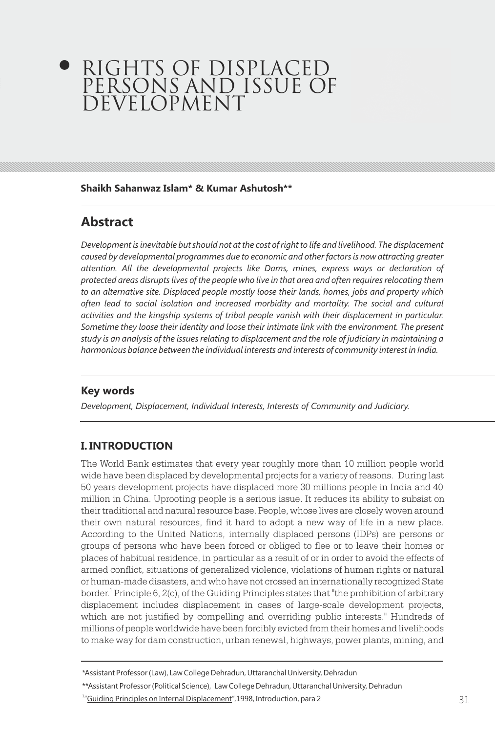# RIGHTS OF DISPLACED PERSONS AND ISSUE OF DEVELOPMENT

#### **Shaikh Sahanwaz Islam\* & Kumar Ashutosh\*\***

# **Abstract**

*Development is inevitable but should not at the cost of right to life and livelihood. The displacement caused by developmental programmes due to economic and other factors is now attracting greater attention. All the developmental projects like Dams, mines, express ways or declaration of protected areas disrupts lives of the people who live in that area and often requires relocating them to an alternative site. Displaced people mostly loose their lands, homes, jobs and property which often lead to social isolation and increased morbidity and mortality. The social and cultural activities and the kingship systems of tribal people vanish with their displacement in particular. Sometime they loose their identity and loose their intimate link with the environment. The present study is an analysis of the issues relating to displacement and the role of judiciary in maintaining a harmonious balance between the individual interests and interests of community interest in India.*

# **Key words**

*Development, Displacement, Individual Interests, Interests of Community and Judiciary.*

# **I. INTRODUCTION**

The World Bank estimates that every year roughly more than 10 million people world wide have been displaced by developmental projects for a variety of reasons. During last 50 years development projects have displaced more 30 millions people in India and 40 million in China. Uprooting people is a serious issue. It reduces its ability to subsist on their traditional and natural resource base. People, whose lives are closely woven around their own natural resources, find it hard to adopt a new way of life in a new place. According to the United Nations, internally displaced persons (IDPs) are persons or groups of persons who have been forced or obliged to flee or to leave their homes or places of habitual residence, in particular as a result of or in order to avoid the effects of armed conflict, situations of generalized violence, violations of human rights or natural or human-made disasters, and who have not crossed an internationally recognized State border.<sup>1</sup> Principle 6, 2(c), of the Guiding Principles states that "the prohibition of arbitrary displacement includes displacement in cases of large-scale development projects, which are not justified by compelling and overriding public interests." Hundreds of millions of people worldwide have been forcibly evicted from their homes and livelihoods to make way for dam construction, urban renewal, highways, power plants, mining, and

<sup>\*</sup>Assistant Professor (Law), Law College Dehradun, Uttaranchal University, Dehradun

<sup>\*\*</sup>Assistant Professor (Political Science), Law College Dehradun, Uttaranchal University, Dehradun

<sup>&</sup>lt;sup>1</sup>"Guiding Principles on Internal Displacement", 1998, Introduction, para 2 31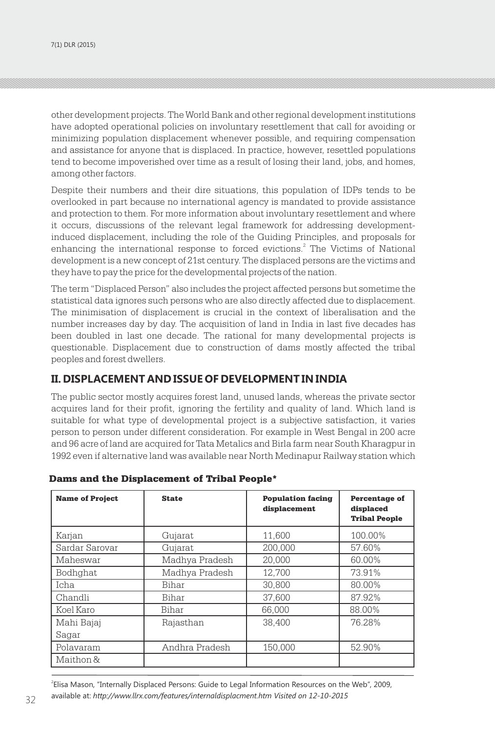other development projects. The World Bank and other regional development institutions have adopted operational policies on involuntary resettlement that call for avoiding or minimizing population displacement whenever possible, and requiring compensation and assistance for anyone that is displaced. In practice, however, resettled populations tend to become impoverished over time as a result of losing their land, jobs, and homes, among other factors.

Despite their numbers and their dire situations, this population of IDPs tends to be overlooked in part because no international agency is mandated to provide assistance and protection to them. For more information about involuntary resettlement and where it occurs, discussions of the relevant legal framework for addressing developmentinduced displacement, including the role of the Guiding Principles, and proposals for enhancing the international response to forced evictions.<sup>2</sup> The Victims of National development is a new concept of 21st century. The displaced persons are the victims and they have to pay the price for the developmental projects of the nation.

The term "Displaced Person" also includes the project affected persons but sometime the statistical data ignores such persons who are also directly affected due to displacement. The minimisation of displacement is crucial in the context of liberalisation and the number increases day by day. The acquisition of land in India in last five decades has been doubled in last one decade. The rational for many developmental projects is questionable. Displacement due to construction of dams mostly affected the tribal peoples and forest dwellers.

## **II. DISPLACEMENT AND ISSUE OF DEVELOPMENT IN INDIA**

The public sector mostly acquires forest land, unused lands, whereas the private sector acquires land for their profit, ignoring the fertility and quality of land. Which land is suitable for what type of developmental project is a subjective satisfaction, it varies person to person under different consideration. For example in West Bengal in 200 acre and 96 acre of land are acquired for Tata Metalics and Birla farm near South Kharagpur in 1992 even if alternative land was available near North Medinapur Railway station which

| <b>Name of Project</b> | <b>State</b>   | <b>Population facing</b><br>displacement | <b>Percentage of</b><br>displaced<br><b>Tribal People</b> |
|------------------------|----------------|------------------------------------------|-----------------------------------------------------------|
| Karjan                 | Gujarat        | 11,600                                   | 100.00%                                                   |
| Sardar Sarovar         | Gujarat        | 200,000                                  | 57.60%                                                    |
| Maheswar               | Madhya Pradesh | 20.000                                   | 60.00%                                                    |
| Bodhqhat               | Madhya Pradesh | 12,700                                   | 73.91%                                                    |
| <b>Icha</b>            | Bihar          | 30,800                                   | 80.00%                                                    |
| Chandli                | Bihar          | 37,600                                   | 87.92%                                                    |
| Koel Karo              | Bihar          | 66.000                                   | 88.00%                                                    |
| Mahi Bajaj             | Rajasthan      | 38,400                                   | 76.28%                                                    |
| Sagar                  |                |                                          |                                                           |
| Polavaram              | Andhra Pradesh | 150.000                                  | 52.90%                                                    |
| Maithon &              |                |                                          |                                                           |

#### Dams and the Displacement of Tribal People\*

32 33 available at: *http://www.llrx.com/features/internaldisplacment.htm Visited on 12-10-2015* 2 Elisa Mason, "Internally Displaced Persons: Guide to Legal Information Resources on the Web", 2009,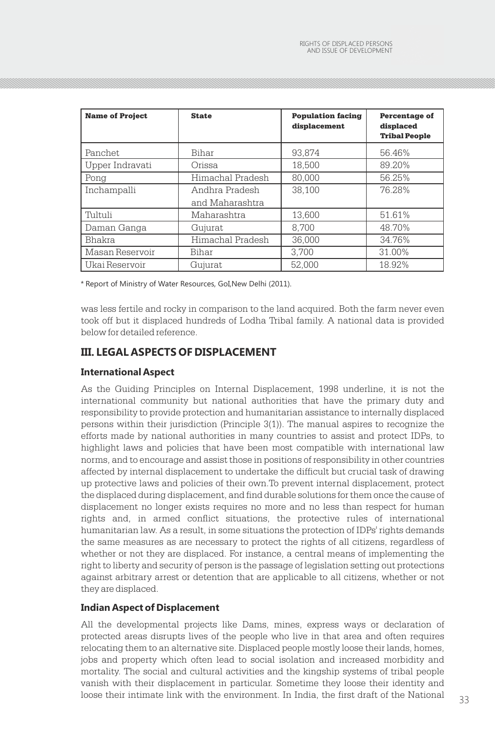| <b>Name of Project</b> | <b>State</b>                      | <b>Population facing</b><br>displacement | <b>Percentage of</b><br>displaced<br><b>Tribal People</b> |
|------------------------|-----------------------------------|------------------------------------------|-----------------------------------------------------------|
| Panchet.               | Bihar                             | 93.874                                   | 56.46%                                                    |
| Upper Indravati        | Orissa                            | 18.500                                   | 89.20%                                                    |
| Pong                   | Himachal Pradesh                  | 80.000                                   | 56.25%                                                    |
| Inchampalli            | Andhra Pradesh<br>and Maharashtra | 38.100                                   | 76.28%                                                    |
| Tultuli                | Maharashtra                       | 13,600                                   | 51.61%                                                    |
| Daman Ganga            | Gujurat                           | 8.700                                    | 48.70%                                                    |
| Bhakra                 | Himachal Pradesh                  | 36.000                                   | 34.76%                                                    |
| Masan Reservoir        | Bihar                             | 3.700                                    | 31.00%                                                    |
| Ukai Reservoir         | Gujurat                           | 52.000                                   | 18.92%                                                    |

*\** Report of Ministry of Water Resources, GoI,New Delhi (2011).

was less fertile and rocky in comparison to the land acquired. Both the farm never even took off but it displaced hundreds of Lodha Tribal family. A national data is provided below for detailed reference.

## **III. LEGAL ASPECTS OF DISPLACEMENT**

#### **International Aspect**

As the Guiding Principles on Internal Displacement, 1998 underline, it is not the international community but national authorities that have the primary duty and responsibility to provide protection and humanitarian assistance to internally displaced persons within their jurisdiction (Principle 3(1)). The manual aspires to recognize the efforts made by national authorities in many countries to assist and protect IDPs, to highlight laws and policies that have been most compatible with international law norms, and to encourage and assist those in positions of responsibility in other countries affected by internal displacement to undertake the difficult but crucial task of drawing up protective laws and policies of their own.To prevent internal displacement, protect the displaced during displacement, and find durable solutions for them once the cause of displacement no longer exists requires no more and no less than respect for human rights and, in armed conflict situations, the protective rules of international humanitarian law. As a result, in some situations the protection of IDPs' rights demands the same measures as are necessary to protect the rights of all citizens, regardless of whether or not they are displaced. For instance, a central means of implementing the right to liberty and security of person is the passage of legislation setting out protections against arbitrary arrest or detention that are applicable to all citizens, whether or not they are displaced.

#### **Indian Aspect of Displacement**

loose their intimate link with the environment. In India, the first draft of the National 33 All the developmental projects like Dams, mines, express ways or declaration of protected areas disrupts lives of the people who live in that area and often requires relocating them to an alternative site. Displaced people mostly loose their lands, homes, jobs and property which often lead to social isolation and increased morbidity and mortality. The social and cultural activities and the kingship systems of tribal people vanish with their displacement in particular. Sometime they loose their identity and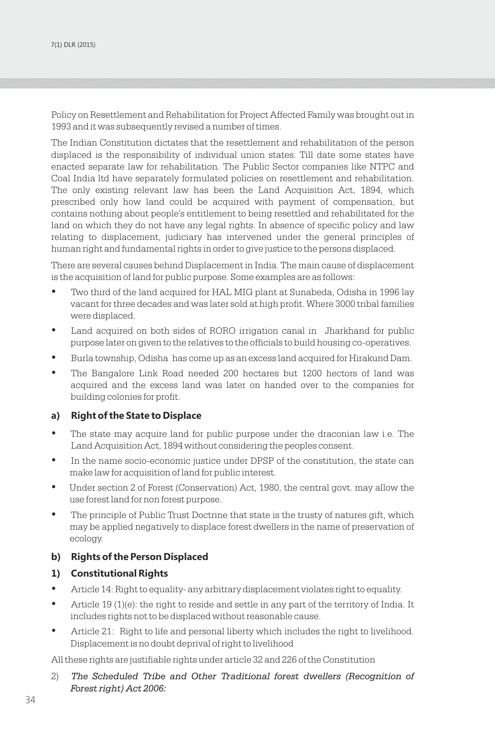Policy on Resettlement and Rehabilitation for Project Affected Family was brought out in 1993 and it was subsequently revised a number of times.

The Indian Constitution dictates that the resettlement and rehabilitation of the person displaced is the responsibility of individual union states. Till date some states have enacted separate law for rehabilitation. The Public Sector companies like NTPC and Coal India ltd have separately formulated policies on resettlement and rehabilitation. The only existing relevant law has been the Land Acquisition Act, 1894, which prescribed only how land could be acquired with payment of compensation, but contains nothing about people's entitlement to being resettled and rehabilitated for the land on which they do not have any legal rights. In absence of specific policy and law relating to displacement, judiciary has intervened under the general principles of human right and fundamental rights in order to give justice to the persons displaced.

There are several causes behind Displacement in India. The main cause of displacement is the acquisition of land for public purpose. Some examples are as follows:

- Two third of the land acquired for HAL MIG plant at Sunabeda, Odisha in 1996 lay vacant for three decades and was later sold at high profit. Where 3000 tribal families were displaced.
- Land acquired on both sides of RORO irrigation canal in Jharkhand for public purpose later on given to the relatives to the officials to build housing co-operatives.
- Burla township, Odisha has come up as an excess land acquired for Hirakund Dam.
- The Bangalore Link Road needed 200 hectares but 1200 hectors of land was acquired and the excess land was later on handed over to the companies for building colonies for profit.

#### **a) Right of the State to Displace**

- The state may acquire land for public purpose under the draconian law i.e. The Land Acquisition Act, 1894 without considering the peoples consent.
- In the name socio-economic justice under DPSP of the constitution, the state can make law for acquisition of land for public interest.
- Under section 2 of Forest (Conservation) Act, 1980, the central govt. may allow the use forest land for non forest purpose.
- The principle of Public Trust Doctrine that state is the trusty of natures gift, which may be applied negatively to displace forest dwellers in the name of preservation of ecology.

#### **b) Rights of the Person Displaced**

#### **1) Constitutional Rights**

- Article 14: Right to equality- any arbitrary displacement violates right to equality.
- Article 19 (1)(e): the right to reside and settle in any part of the territory of India. It includes rights not to be displaced without reasonable cause.
- Article 21: Right to life and personal liberty which includes the right to livelihood. Displacement is no doubt deprival of right to livelihood

All these rights are justifiable rights under article 32 and 226 of the Constitution

2) *The Scheduled Tribe and Other Traditional forest dwellers (Recognition of Forest right) Act 2006:*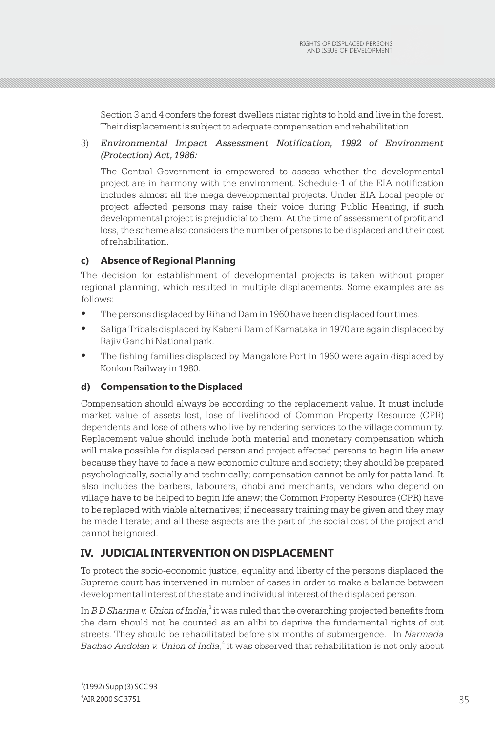Section 3 and 4 confers the forest dwellers nistar rights to hold and live in the forest. Their displacement is subject to adequate compensation and rehabilitation.

3) *Environmental Impact Assessment Notification, 1992 of Environment (Protection) Act, 1986:* 

The Central Government is empowered to assess whether the developmental project are in harmony with the environment. Schedule-1 of the EIA notification includes almost all the mega developmental projects. Under EIA Local people or project affected persons may raise their voice during Public Hearing, if such developmental project is prejudicial to them. At the time of assessment of profit and loss, the scheme also considers the number of persons to be displaced and their cost of rehabilitation.

## **c) Absence of Regional Planning**

The decision for establishment of developmental projects is taken without proper regional planning, which resulted in multiple displacements. Some examples are as follows:

- The persons displaced by Rihand Dam in 1960 have been displaced four times.
- Saliga Tribals displaced by Kabeni Dam of Karnataka in 1970 are again displaced by Rajiv Gandhi National park.
- The fishing families displaced by Mangalore Port in 1960 were again displaced by Konkon Railway in 1980.

### **d) Compensation to the Displaced**

Compensation should always be according to the replacement value. It must include market value of assets lost, lose of livelihood of Common Property Resource (CPR) dependents and lose of others who live by rendering services to the village community. Replacement value should include both material and monetary compensation which will make possible for displaced person and project affected persons to begin life anew because they have to face a new economic culture and society; they should be prepared psychologically, socially and technically; compensation cannot be only for patta land. It also includes the barbers, labourers, dhobi and merchants, vendors who depend on village have to be helped to begin life anew; the Common Property Resource (CPR) have to be replaced with viable alternatives; if necessary training may be given and they may be made literate; and all these aspects are the part of the social cost of the project and cannot be ignored.

# **IV. JUDICIAL INTERVENTION ON DISPLACEMENT**

To protect the socio-economic justice, equality and liberty of the persons displaced the Supreme court has intervened in number of cases in order to make a balance between developmental interest of the state and individual interest of the displaced person.

In *B D Sharma v. Union of India*, $^{\text{3}}$  it was ruled that the overarching projected benefits from the dam should not be counted as an alibi to deprive the fundamental rights of out streets. They should be rehabilitated before six months of submergence. In *Narmada*  Bachao Andolan v. Union of India,<sup>4</sup> it was observed that rehabilitation is not only about